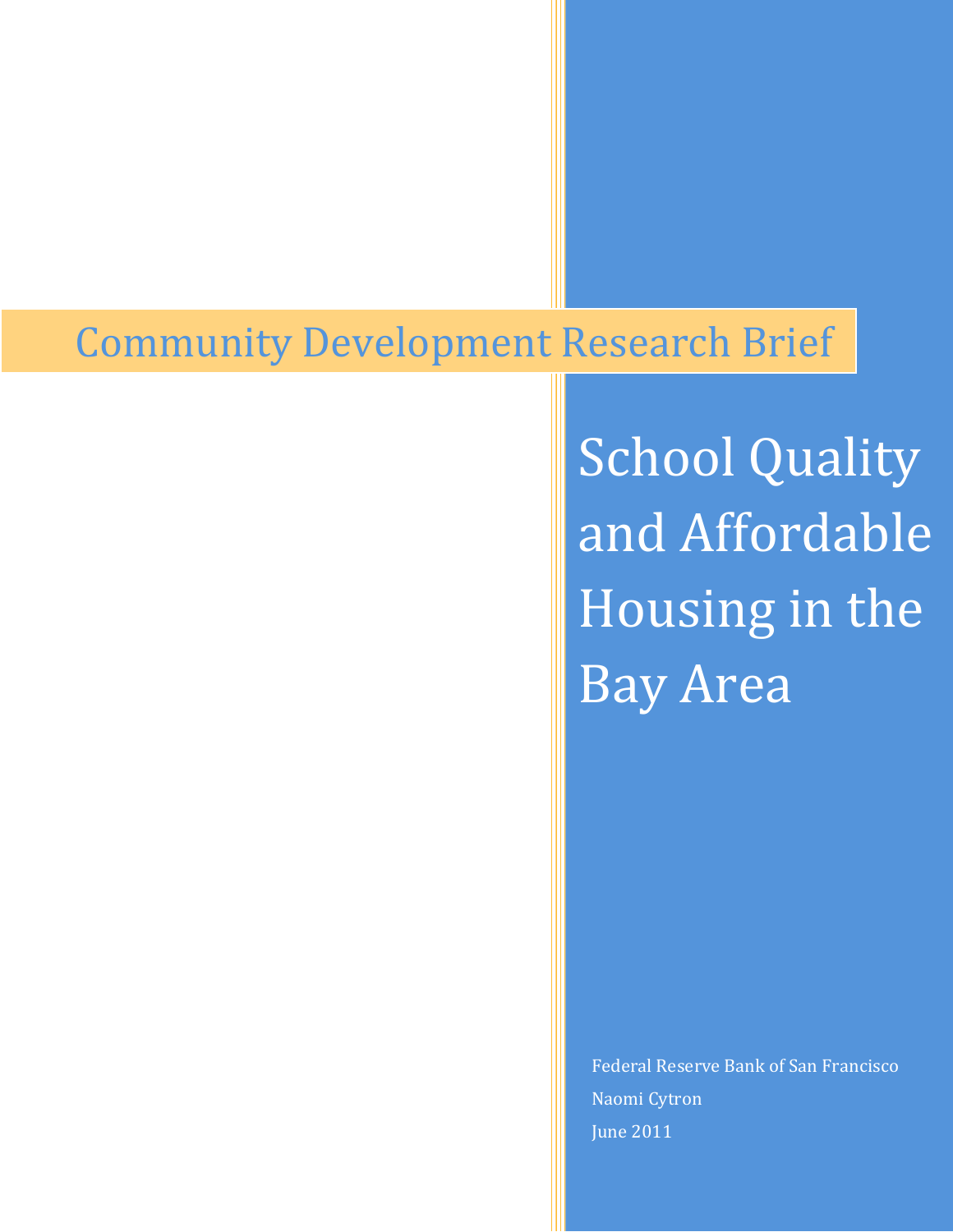# Community Development Research Brief

School Quality and Affordable Housing in the Bay Area

Federal Reserve Bank of San Francisco Naomi Cytron June 2011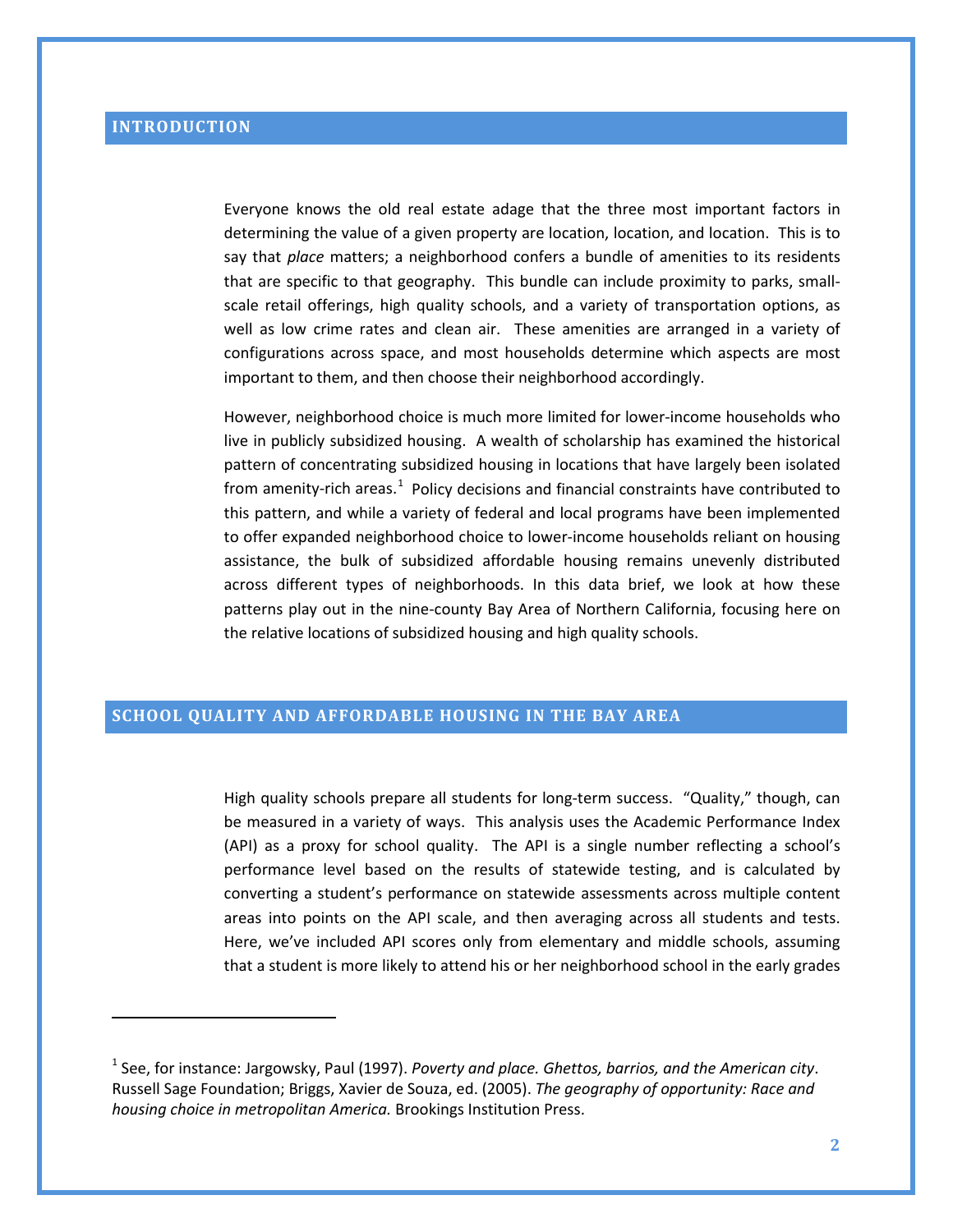ı

Everyone knows the old real estate adage that the three most important factors in determining the value of a given property are location, location, and location. This is to say that *place* matters; a neighborhood confers a bundle of amenities to its residents that are specific to that geography. This bundle can include proximity to parks, smallscale retail offerings, high quality schools, and a variety of transportation options, as well as low crime rates and clean air. These amenities are arranged in a variety of configurations across space, and most households determine which aspects are most important to them, and then choose their neighborhood accordingly.

However, neighborhood choice is much more limited for lower-income households who live in publicly subsidized housing. A wealth of scholarship has examined the historical pattern of concentrating subsidized housing in locations that have largely been isolated from amenity-rich areas.<sup>[1](#page-1-0)</sup> Policy decisions and financial constraints have contributed to this pattern, and while a variety of federal and local programs have been implemented to offer expanded neighborhood choice to lower-income households reliant on housing assistance, the bulk of subsidized affordable housing remains unevenly distributed across different types of neighborhoods. In this data brief, we look at how these patterns play out in the nine-county Bay Area of Northern California, focusing here on the relative locations of subsidized housing and high quality schools.

## **SCHOOL QUALITY AND AFFORDABLE HOUSING IN THE BAY AREA**

High quality schools prepare all students for long-term success. "Quality," though, can be measured in a variety of ways. This analysis uses the Academic Performance Index (API) as a proxy for school quality. The API is a single number reflecting a school's performance level based on the results of statewide testing, and is calculated by converting a student's performance on statewide assessments across multiple content areas into points on the API scale, and then averaging across all students and tests. Here, we've included API scores only from elementary and middle schools, assuming that a student is more likely to attend his or her neighborhood school in the early grades

<span id="page-1-0"></span><sup>1</sup> See, for instance: Jargowsky, Paul (1997). *Poverty and place. Ghettos, barrios, and the American city*. Russell Sage Foundation; Briggs, Xavier de Souza, ed. (2005). *The geography of opportunity: Race and housing choice in metropolitan America.* Brookings Institution Press.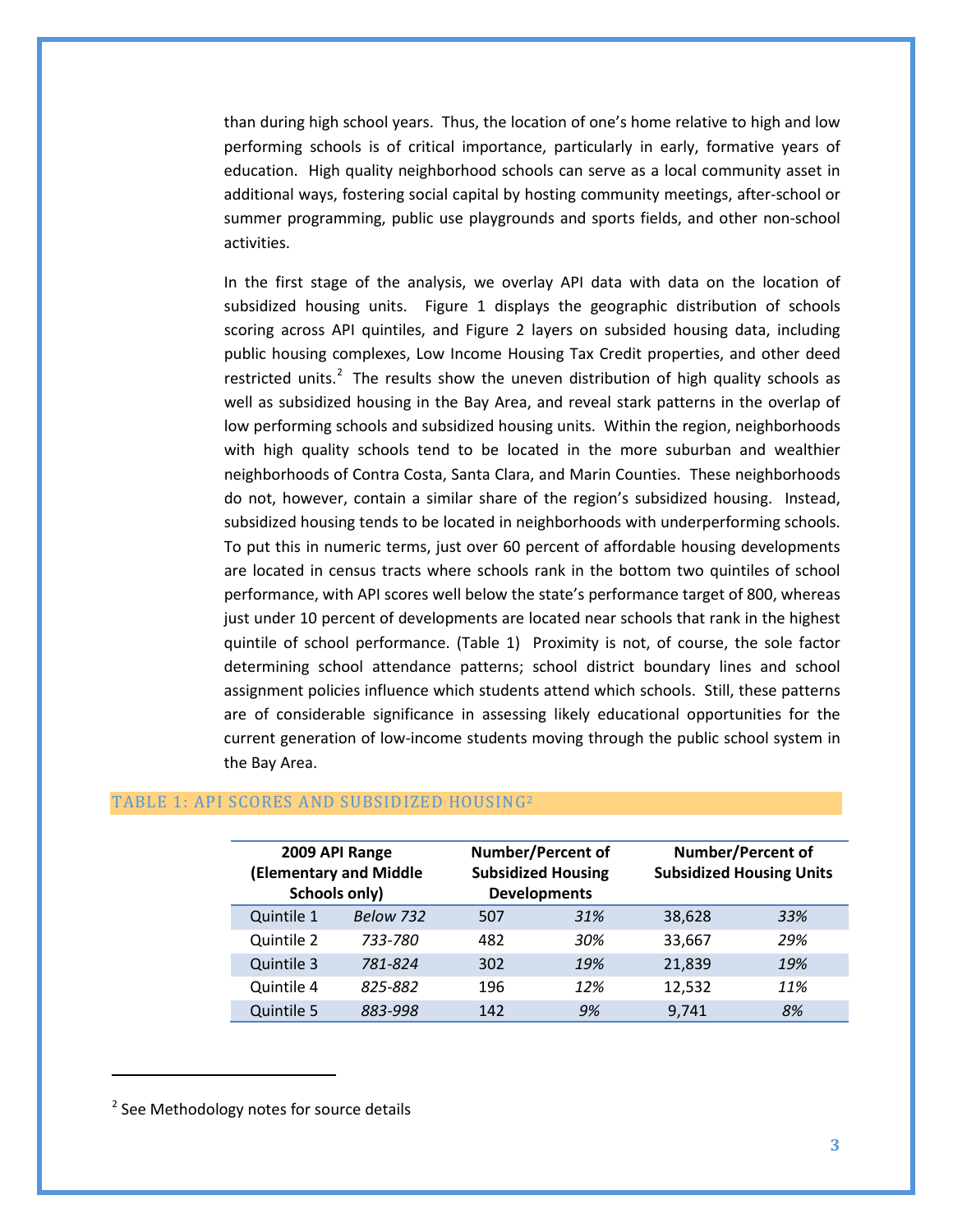than during high school years. Thus, the location of one's home relative to high and low performing schools is of critical importance, particularly in early, formative years of education. High quality neighborhood schools can serve as a local community asset in additional ways, fostering social capital by hosting community meetings, after-school or summer programming, public use playgrounds and sports fields, and other non-school activities.

In the first stage of the analysis, we overlay API data with data on the location of subsidized housing units. Figure 1 displays the geographic distribution of schools scoring across API quintiles, and Figure 2 layers on subsided housing data, including public housing complexes, Low Income Housing Tax Credit properties, and other deed restricted units.<sup>[2](#page-2-0)</sup> The results show the uneven distribution of high quality schools as well as subsidized housing in the Bay Area, and reveal stark patterns in the overlap of low performing schools and subsidized housing units. Within the region, neighborhoods with high quality schools tend to be located in the more suburban and wealthier neighborhoods of Contra Costa, Santa Clara, and Marin Counties. These neighborhoods do not, however, contain a similar share of the region's subsidized housing. Instead, subsidized housing tends to be located in neighborhoods with underperforming schools. To put this in numeric terms, just over 60 percent of affordable housing developments are located in census tracts where schools rank in the bottom two quintiles of school performance, with API scores well below the state's performance target of 800, whereas just under 10 percent of developments are located near schools that rank in the highest quintile of school performance. (Table 1) Proximity is not, of course, the sole factor determining school attendance patterns; school district boundary lines and school assignment policies influence which students attend which schools. Still, these patterns are of considerable significance in assessing likely educational opportunities for the current generation of low-income students moving through the public school system in the Bay Area.

| 2009 API Range<br><b>(Elementary and Middle</b><br>Schools only) |           | <b>Number/Percent of</b><br><b>Subsidized Housing</b><br><b>Developments</b> |     | <b>Number/Percent of</b><br><b>Subsidized Housing Units</b> |     |
|------------------------------------------------------------------|-----------|------------------------------------------------------------------------------|-----|-------------------------------------------------------------|-----|
| Quintile 1                                                       | Below 732 | 507                                                                          | 31% | 38,628                                                      | 33% |
| Quintile 2                                                       | 733-780   | 482                                                                          | 30% | 33,667                                                      | 29% |
| Quintile 3                                                       | 781-824   | 302                                                                          | 19% | 21,839                                                      | 19% |
| Quintile 4                                                       | 825-882   | 196                                                                          | 12% | 12,532                                                      | 11% |
| Quintile 5                                                       | 883-998   | 142                                                                          | 9%  | 9,741                                                       | 8%  |

#### TABLE 1: API SCORES AND SUBSIDIZED HOUSING2

 $\overline{\phantom{0}}$ 

<span id="page-2-0"></span><sup>&</sup>lt;sup>2</sup> See Methodology notes for source details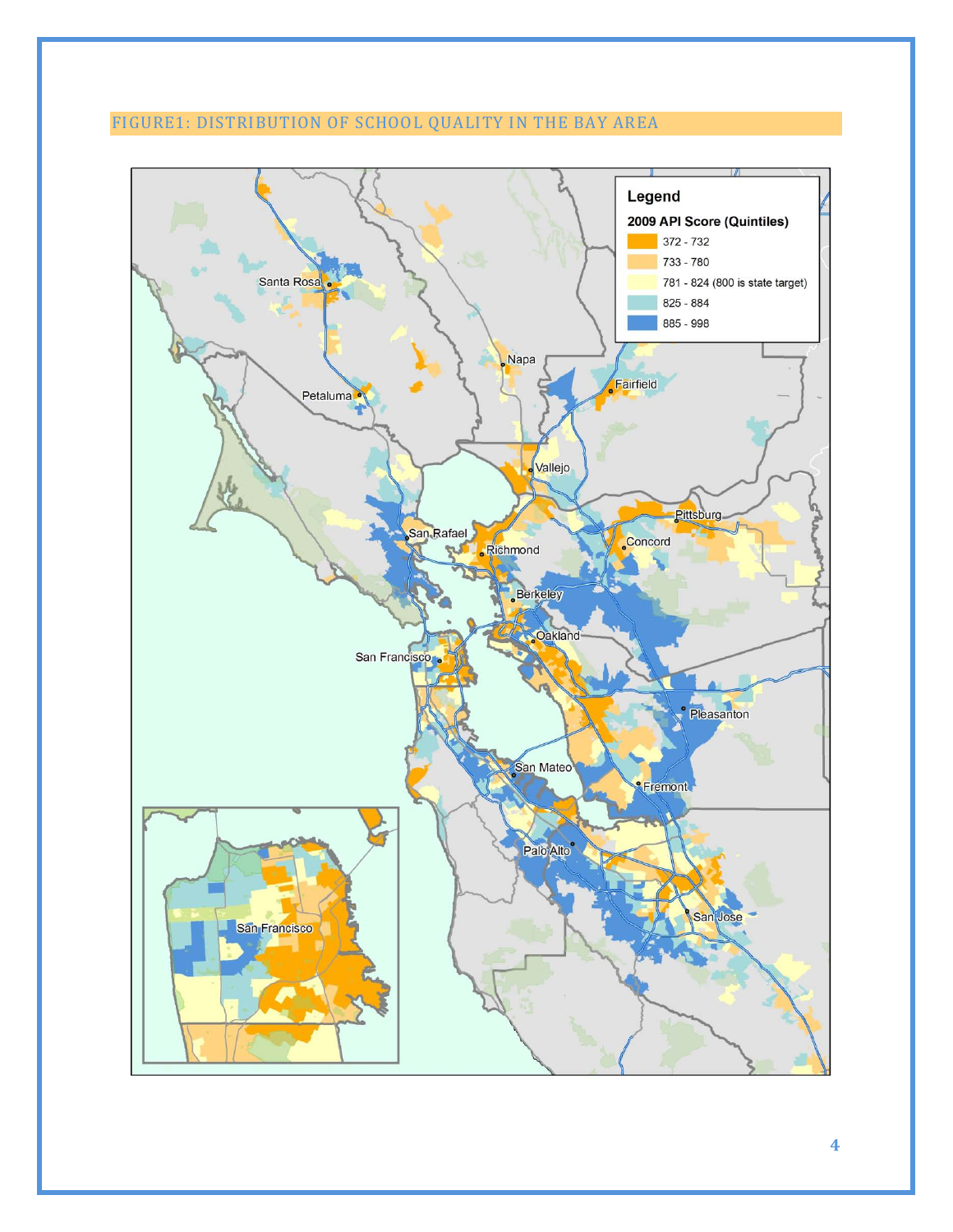# FIGURE1: DISTRIBUTION OF SCHOOL QUALITY IN THE BAY AREA



**4**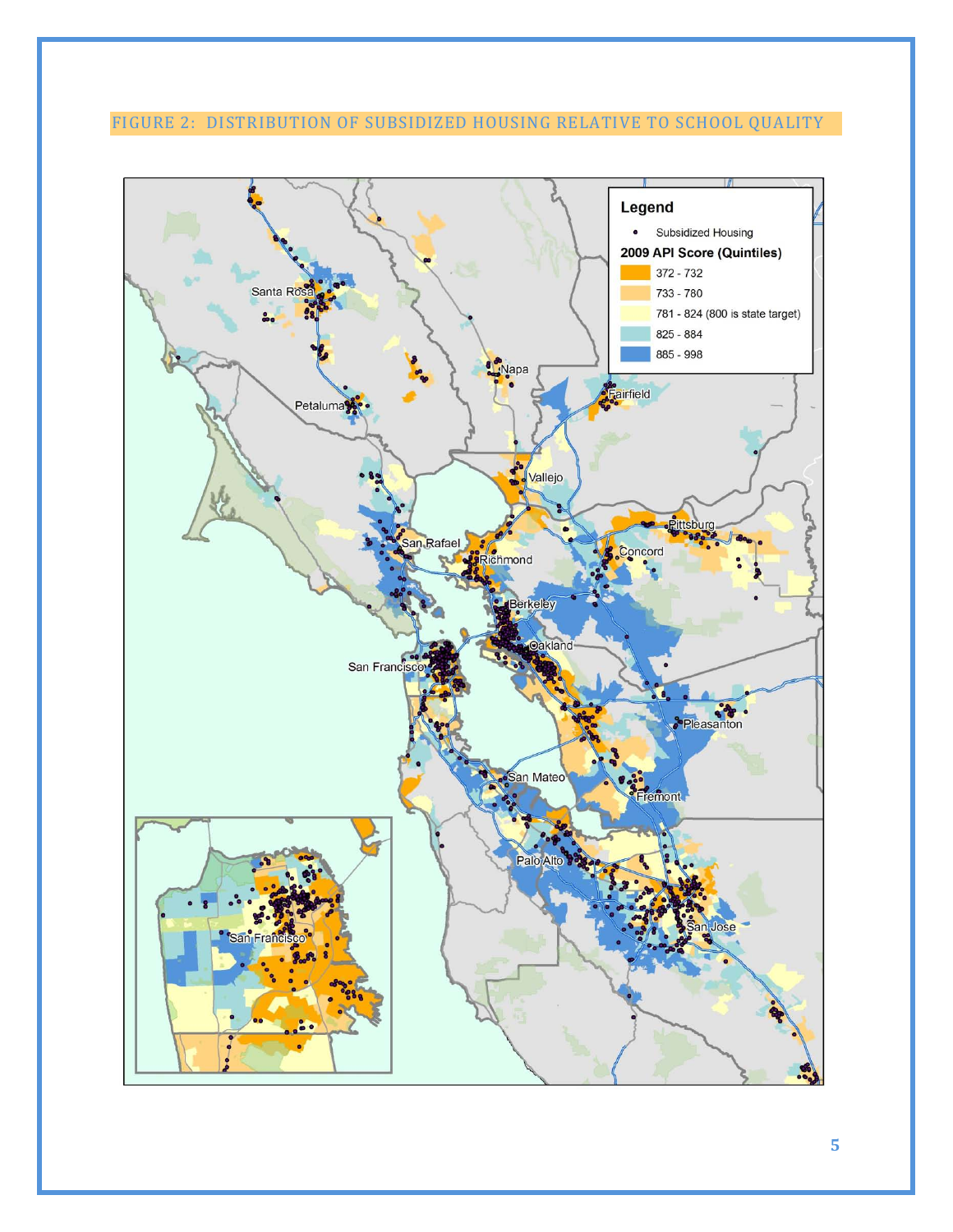FIGURE 2: DISTRIBUTION OF SUBSIDIZED HOUSING RELATIVE TO SCHOOL QUALITY

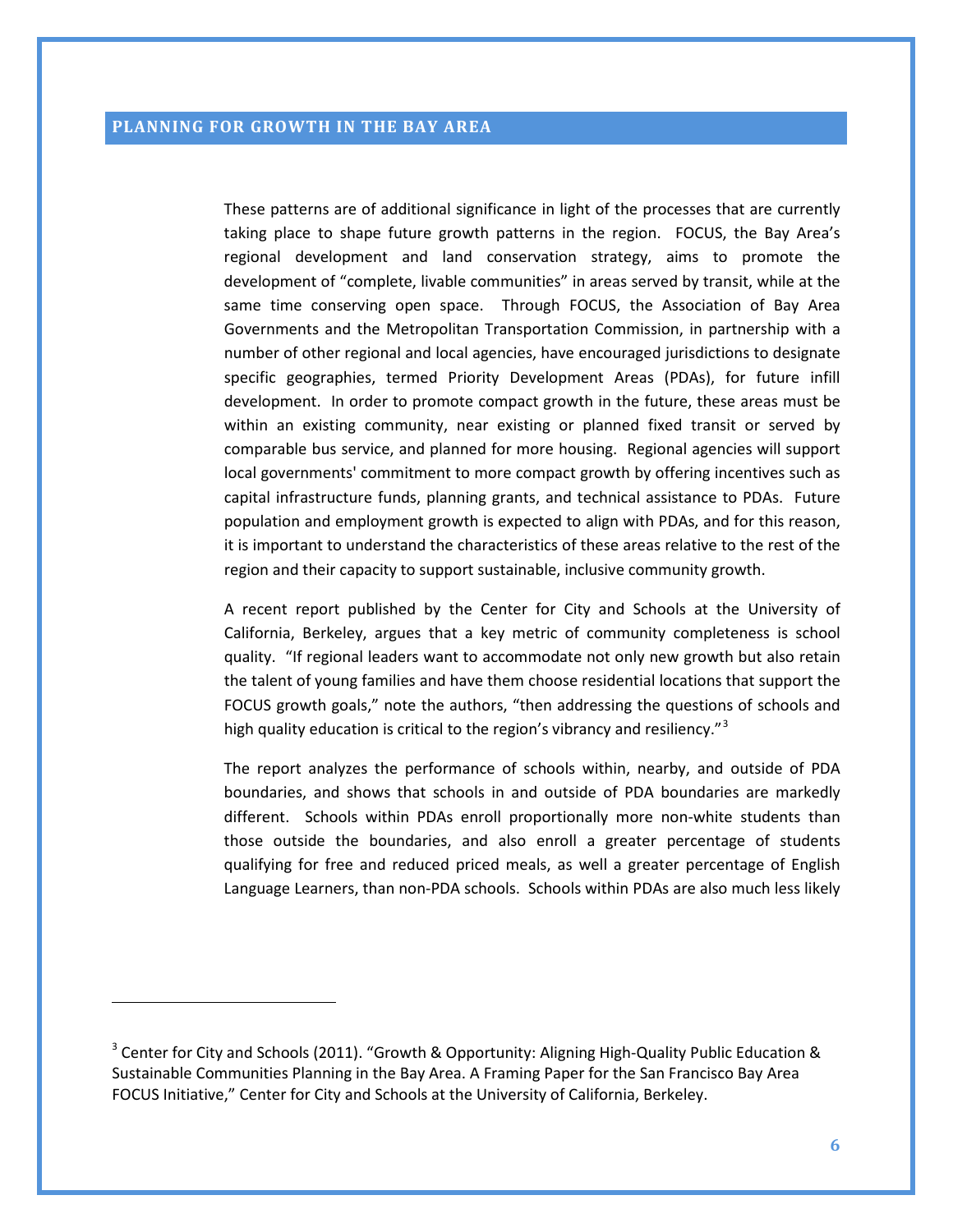$\overline{\phantom{0}}$ 

These patterns are of additional significance in light of the processes that are currently taking place to shape future growth patterns in the region. FOCUS, the Bay Area's regional development and land conservation strategy, aims to promote the development of "complete, livable communities" in areas served by transit, while at the same time conserving open space. Through FOCUS, the Association of Bay Area Governments and the Metropolitan Transportation Commission, in partnership with a number of other regional and local agencies, have encouraged jurisdictions to designate specific geographies, termed Priority Development Areas (PDAs), for future infill development. In order to promote compact growth in the future, these areas must be within an existing community, near existing or planned fixed transit or served by comparable bus service, and planned for more housing. Regional agencies will support local governments' commitment to more compact growth by offering incentives such as capital infrastructure funds, planning grants, and technical assistance to PDAs. Future population and employment growth is expected to align with PDAs, and for this reason, it is important to understand the characteristics of these areas relative to the rest of the region and their capacity to support sustainable, inclusive community growth.

A recent report published by the Center for City and Schools at the University of California, Berkeley, argues that a key metric of community completeness is school quality. "If regional leaders want to accommodate not only new growth but also retain the talent of young families and have them choose residential locations that support the FOCUS growth goals," note the authors, "then addressing the questions of schools and high quality education is critical to the region's vibrancy and resiliency."<sup>[3](#page-5-0)</sup>

The report analyzes the performance of schools within, nearby, and outside of PDA boundaries, and shows that schools in and outside of PDA boundaries are markedly different. Schools within PDAs enroll proportionally more non-white students than those outside the boundaries, and also enroll a greater percentage of students qualifying for free and reduced priced meals, as well a greater percentage of English Language Learners, than non-PDA schools. Schools within PDAs are also much less likely

<span id="page-5-0"></span><sup>&</sup>lt;sup>3</sup> Center for City and Schools (2011). "Growth & Opportunity: Aligning High-Quality Public Education & Sustainable Communities Planning in the Bay Area. A Framing Paper for the San Francisco Bay Area FOCUS Initiative," Center for City and Schools at the University of California, Berkeley.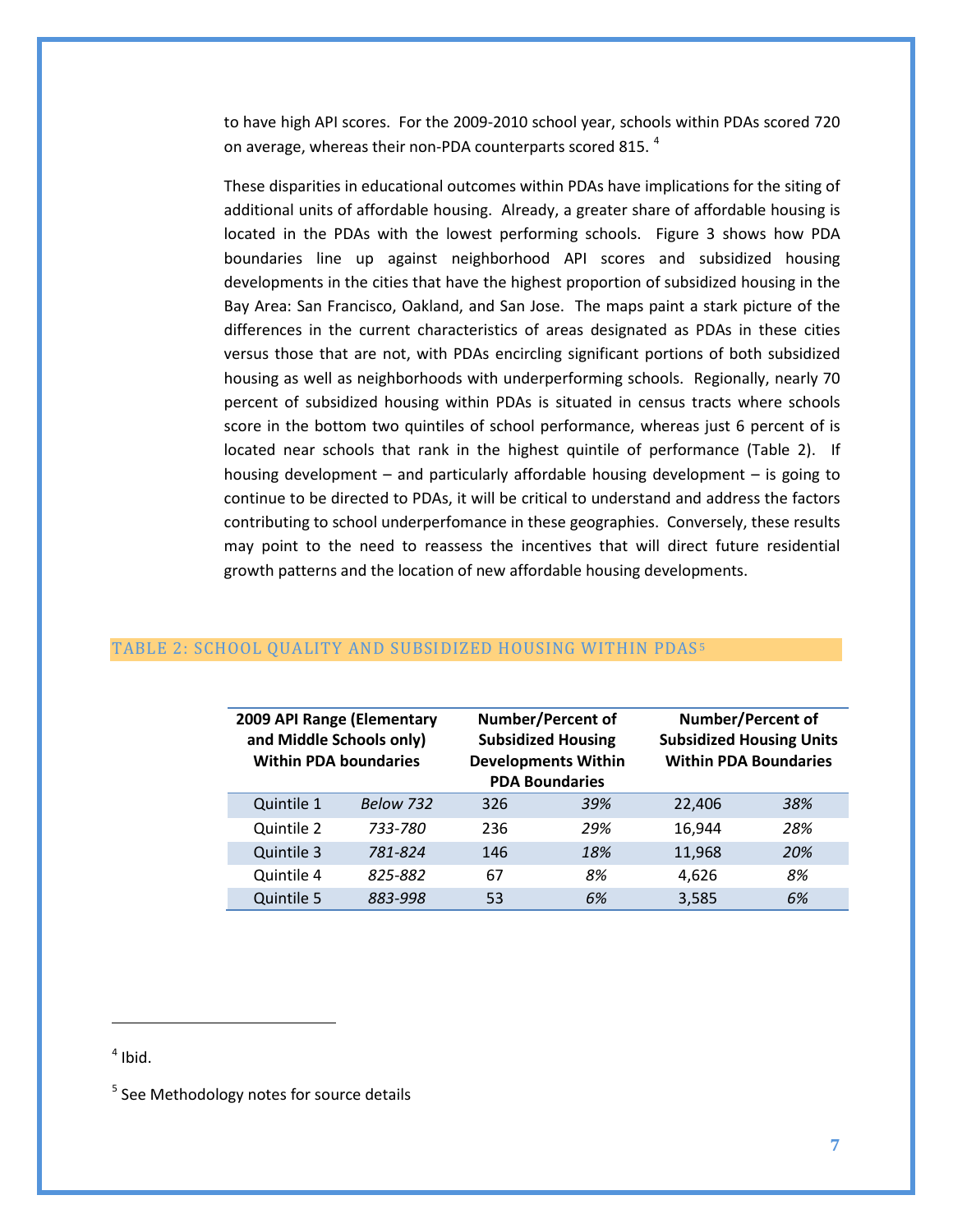to have high API scores. For the 2009-2010 school year, schools within PDAs scored 720 on average, whereas their non-PDA counterparts scored 815.<sup>[4](#page-6-0)</sup>

These disparities in educational outcomes within PDAs have implications for the siting of additional units of affordable housing. Already, a greater share of affordable housing is located in the PDAs with the lowest performing schools. Figure 3 shows how PDA boundaries line up against neighborhood API scores and subsidized housing developments in the cities that have the highest proportion of subsidized housing in the Bay Area: San Francisco, Oakland, and San Jose. The maps paint a stark picture of the differences in the current characteristics of areas designated as PDAs in these cities versus those that are not, with PDAs encircling significant portions of both subsidized housing as well as neighborhoods with underperforming schools. Regionally, nearly 70 percent of subsidized housing within PDAs is situated in census tracts where schools score in the bottom two quintiles of school performance, whereas just 6 percent of is located near schools that rank in the highest quintile of performance (Table 2). If housing development – and particularly affordable housing development – is going to continue to be directed to PDAs, it will be critical to understand and address the factors contributing to school underperfomance in these geographies. Conversely, these results may point to the need to reassess the incentives that will direct future residential growth patterns and the location of new affordable housing developments.

| 2009 API Range (Elementary<br>and Middle Schools only)<br><b>Within PDA boundaries</b> |           | <b>Number/Percent of</b><br><b>Subsidized Housing</b><br><b>Developments Within</b><br><b>PDA Boundaries</b> |     | <b>Number/Percent of</b><br><b>Subsidized Housing Units</b><br><b>Within PDA Boundaries</b> |     |
|----------------------------------------------------------------------------------------|-----------|--------------------------------------------------------------------------------------------------------------|-----|---------------------------------------------------------------------------------------------|-----|
| Quintile 1                                                                             | Below 732 | 326                                                                                                          | 39% | 22,406                                                                                      | 38% |
| Quintile 2                                                                             | 733-780   | 236                                                                                                          | 29% | 16,944                                                                                      | 28% |
| Quintile 3                                                                             | 781-824   | 146                                                                                                          | 18% | 11,968                                                                                      | 20% |
| Quintile 4                                                                             | 825-882   | 67                                                                                                           | 8%  | 4.626                                                                                       | 8%  |

Quintile 5 *883-998* 53 *6%* 3,585 *6%*

#### TABLE 2: SCHOOL QUALITY AND SUBSIDIZED HOUSING WITHIN PDAS [5](#page-6-1)

## <span id="page-6-0"></span> $<sup>4</sup>$  Ibid.</sup>

ı

<span id="page-6-1"></span><sup>&</sup>lt;sup>5</sup> See Methodology notes for source details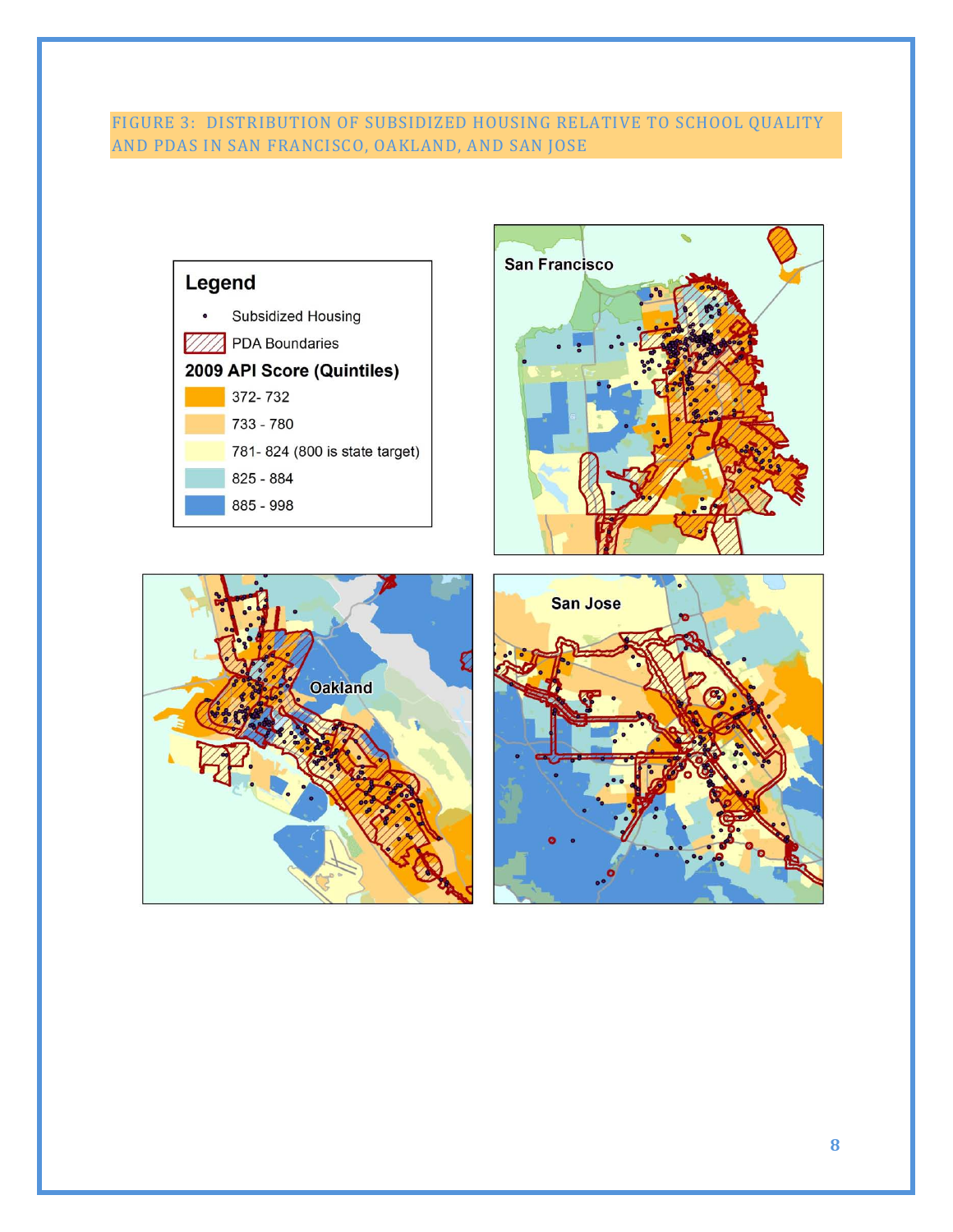# FIGURE 3: DISTRIBUTION OF SUBSIDIZED HOUSING RELATIVE TO SCHOOL QUALITY AND PDAS IN SAN FRANCISCO, OAKLAND, AND SAN JOSE







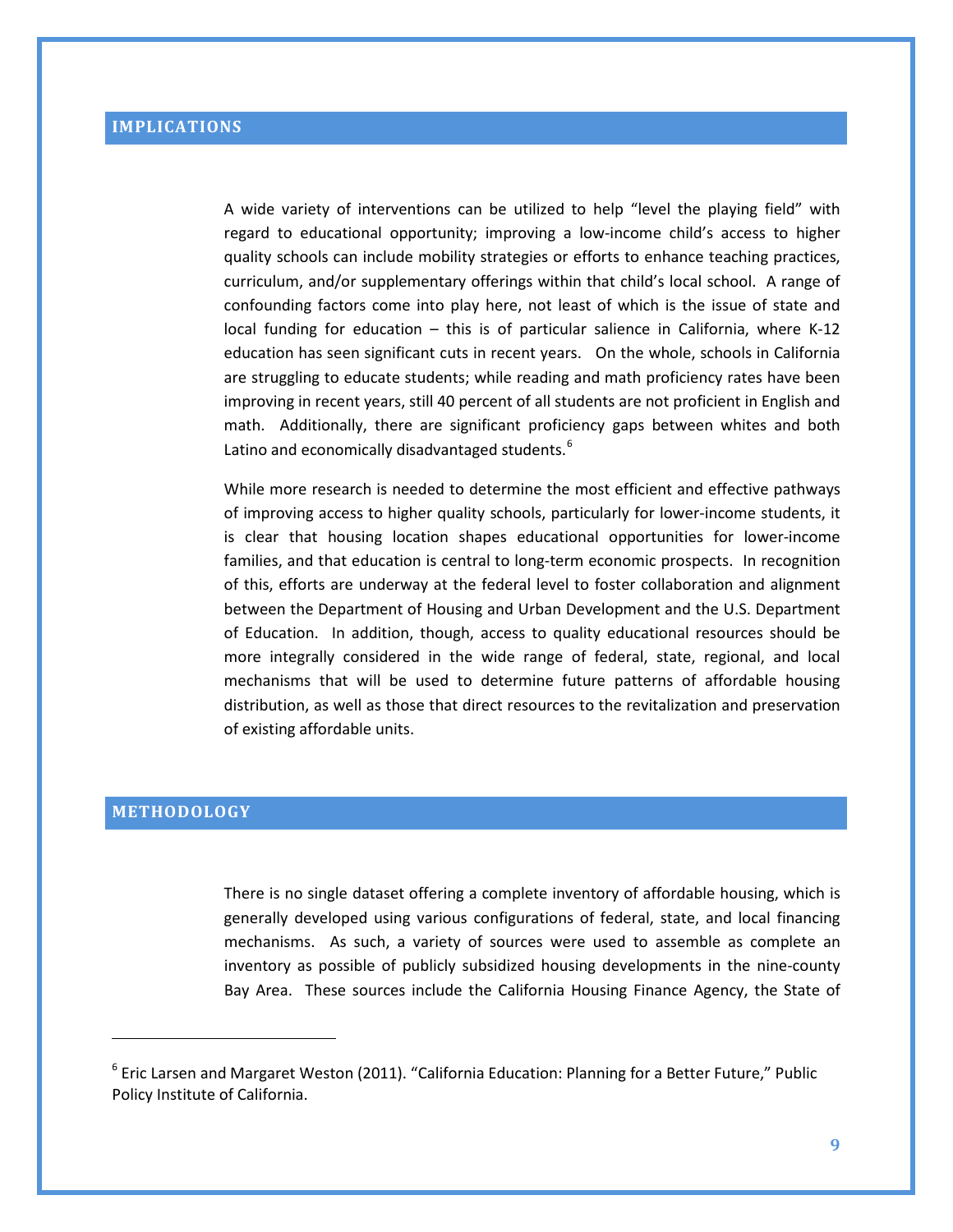A wide variety of interventions can be utilized to help "level the playing field" with regard to educational opportunity; improving a low-income child's access to higher quality schools can include mobility strategies or efforts to enhance teaching practices, curriculum, and/or supplementary offerings within that child's local school. A range of confounding factors come into play here, not least of which is the issue of state and local funding for education – this is of particular salience in California, where K-12 education has seen significant cuts in recent years. On the whole, schools in California are struggling to educate students; while reading and math proficiency rates have been improving in recent years, still 40 percent of all students are not proficient in English and math. Additionally, there are significant proficiency gaps between whites and both Latino and economically disadvantaged students.<sup>[6](#page-8-0)</sup>

While more research is needed to determine the most efficient and effective pathways of improving access to higher quality schools, particularly for lower-income students, it is clear that housing location shapes educational opportunities for lower-income families, and that education is central to long-term economic prospects. In recognition of this, efforts are underway at the federal level to foster collaboration and alignment between the Department of Housing and Urban Development and the U.S. Department of Education. In addition, though, access to quality educational resources should be more integrally considered in the wide range of federal, state, regional, and local mechanisms that will be used to determine future patterns of affordable housing distribution, as well as those that direct resources to the revitalization and preservation of existing affordable units.

## **METHODOLOGY**

 $\overline{\phantom{0}}$ 

There is no single dataset offering a complete inventory of affordable housing, which is generally developed using various configurations of federal, state, and local financing mechanisms. As such, a variety of sources were used to assemble as complete an inventory as possible of publicly subsidized housing developments in the nine-county Bay Area. These sources include the California Housing Finance Agency, the State of

<span id="page-8-0"></span> $6$  [Eric Larsen](http://www.ppic.org/main/bio.asp?i=376) and [Margaret Weston](http://www.ppic.org/main/bio.asp?i=400) (2011). "California Education: Planning for a Better Future," Public Policy Institute of California.